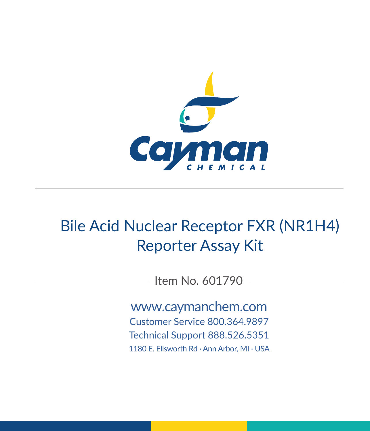

# Bile Acid Nuclear Receptor FXR (NR1H4) Reporter Assay Kit

Item No. 601790

www.caymanchem.com Customer Service 800.364.9897 Technical Support 888.526.5351 1180 E. Ellsworth Rd · Ann Arbor, MI · USA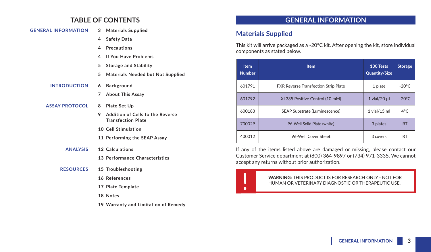### **TABLE OF CONTENTS**

| <b>GENERAL INFORMATION</b> |    | <b>Materials Supplied</b><br>3           |
|----------------------------|----|------------------------------------------|
|                            | 4  | <b>Safety Data</b>                       |
|                            | 4  | <b>Precautions</b>                       |
|                            | 4  | <b>If You Have Problems</b>              |
|                            | 5  | <b>Storage and Stability</b>             |
|                            | 5. | <b>Materials Needed but Not Supplied</b> |
| <b>INTRODUCTION</b>        | 6  | <b>Background</b>                        |
|                            | 7  | <b>About This Assay</b>                  |
| <b>ASSAY PROTOCOL</b>      | 8  | <b>Plate Set Up</b>                      |
|                            | 9  | Addition of Cells to the Reverse         |

- **9 Addition of Cells to the Reverse Transfection Plate**
- **10 Cell Stimulation**
- **11 Performing the SEAP Assay**
- **ANALYSIS 12 Calculations**
	- **13 Performance Characteristics**
- **RESOURCES 15 Troubleshooting**
	- **16 References**
	- **17 Plate Template**
	- **18 Notes**
	- **19 Warranty and Limitation of Remedy**

### **GENERAL INFORMATION**

### **Materials Supplied**

This kit will arrive packaged as a -20°C kit. After opening the kit, store individual components as stated below.

| <b>Item</b><br><b>Number</b> | <b>Item</b>                                 | 100 Tests<br><b>Quantity/Size</b> | <b>Storage</b>  |
|------------------------------|---------------------------------------------|-----------------------------------|-----------------|
| 601791                       | <b>FXR Reverse Transfection Strip Plate</b> | 1 plate                           | $-20^{\circ}$ C |
| 601792                       | XL335 Positive Control (10 mM)              | $1$ vial/20 $\mu$                 | $-20^{\circ}$ C |
| 600183                       | SEAP Substrate (Luminescence)               | $1$ vial/ $15$ ml                 | $4^{\circ}$ C   |
| 700029                       | 96-Well Solid Plate (white)                 | 3 plates                          | <b>RT</b>       |
| 400012                       | 96-Well Cover Sheet                         | 3 covers                          | <b>RT</b>       |

If any of the items listed above are damaged or missing, please contact our Customer Service department at (800) 364-9897 or (734) 971-3335. We cannot accept any returns without prior authorization.

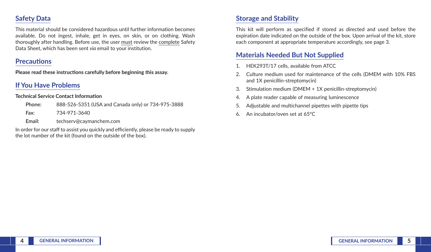### **Safety Data**

This material should be considered hazardous until further information becomes available. Do not ingest, inhale, get in eyes, on skin, or on clothing. Wash thoroughly after handling. Before use, the user must review the complete Safety Data Sheet, which has been sent *via* email to your institution.

#### **Precautions**

**Please read these instructions carefully before beginning this assay.**

# **If You Have Problems**

#### **Technical Service Contact Information**

| Phone: | 888-526-5351 (USA and Canada only) or 734-975-3888 |
|--------|----------------------------------------------------|
| Fax:   | 734-971-3640                                       |
| Email: | techserv@caymanchem.com                            |

In order for our staff to assist you quickly and efficiently, please be ready to supply the lot number of the kit (found on the outside of the box).

# **Storage and Stability**

This kit will perform as specified if stored as directed and used before the expiration date indicated on the outside of the box. Upon arrival of the kit, store each component at appropriate temperature accordingly, see page 3.

# **Materials Needed But Not Supplied**

- 1. HEK293T/17 cells, available from ATCC
- 2. Culture medium used for maintenance of the cells (DMEM with 10% FBS and 1X penicillin-streptomycin)
- 3. Stimulation medium (DMEM + 1X penicillin-streptomycin)
- 4. A plate reader capable of measuring luminescence
- 5. Adjustable and multichannel pipettes with pipette tips
- 6. An incubator/oven set at 65°C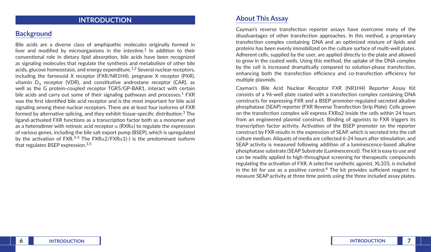### **INTRODUCTION**

#### **Background**

Bile acids are a diverse class of amphipathic molecules originally formed in liver and modified by microorganisms in the intestine.<sup>1</sup> In addition to their conventional role in dietary lipid absorption, bile acids have been recognized as signaling molecules that regulate the synthesis and metabolism of other bile acids, glucose homeostasis, and energy expenditure.<sup>1,2</sup> Several nuclear receptors, including the farnesoid X receptor (FXR/NR1H4), pregnane X receptor (PXR), vitamin  $D_2$  receptor (VDR), and constitutive androstane receptor (CAR), as well as the G protein-coupled receptor TGR5/GP-BAR1, interact with certain bile acids and carry out some of their signaling pathways and processes.<sup>1</sup> FXR was the first identified bile acid receptor and is the most important for bile acid signaling among these nuclear receptors. There are at least four isoforms of FXR formed by alternative splicing, and they exhibit tissue-specific distribution.<sup>3</sup> The ligand-activated FXR functions as a transcription factor both as a monomer and as a heterodimer with retinoic acid receptor  $\alpha$  (RXR $\alpha$ ) to regulate the expression of various genes, including the bile salt export pump (BSEP), which is upregulated by the activation of FXR.<sup>3-5</sup> The FXR $\alpha$ 2/FXR $\alpha$ 1(-) is the predominant isoform that regulates BSEP expression.3,5

#### **About This Assay**

Cayman's reverse transfection reporter assays have overcome many of the disadvantages of other transfection approaches. In this method, a proprietary transfection complex containing DNA and an optimized mixture of lipids and proteins has been evenly immobilized on the culture surface of multi-well plates. Adherent cells, supplied by the user, are applied directly to the plate and allowed to grow in the coated wells. Using this method, the uptake of the DNA complex by the cell is increased dramatically compared to solution-phase transfection, enhancing both the transfection efficiency and co-transfection efficiency for multiple plasmids.

Cayman's Bile Acid Nuclear Receptor FXR (NR1H4) Reporter Assay Kit consists of a 96-well plate coated with a transfection complex containing DNA constructs for expressing FXR and a BSEP promoter-regulated secreted alkaline phosphatase (SEAP) reporter (FXR Reverse Transfection Strip Plate). Cells grown on the transfection complex will express FXRα2 inside the cells within 24 hours from an engineered plasmid construct. Binding of agonists to FXR triggers its transcription factor activity. Activation of the BSEP promoter on the reporter construct by FXR results in the expression of SEAP, which is secreted into the cell culture medium. Aliquots of media are collected 6-24 hours after stimulation, and SEAP activity is measured following addition of a luminescence-based alkaline phosphatase substrate (SEAP Substrate (Luminescence)). The kit is easy to use and can be readily applied to high-throughput screening for therapeutic compounds regulating the activation of FXR. A selective synthetic agonist, XL335, is included in the kit for use as a positive control.<sup>6</sup> The kit provides sufficient reagent to measure SEAP activity at three time points using the three included assay plates.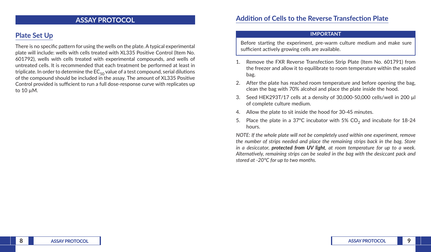#### **ASSAY PROTOCOL**

# **Plate Set Up**

There is no specific pattern for using the wells on the plate. A typical experimental plate will include: wells with cells treated with XL335 Positive Control (Item No. 601792), wells with cells treated with experimental compounds, and wells of untreated cells. It is recommended that each treatment be performed at least in triplicate. In order to determine the  $EC_{50}$  value of a test compound, serial dilutions of the compound should be included in the assay. The amount of XL335 Positive Control provided is sufficient to run a full dose-response curve with replicates up to 10 µM.

#### **Addition of Cells to the Reverse Transfection Plate**

#### **IMPORTANT**

Before starting the experiment, pre-warm culture medium and make sure sufficient actively growing cells are available.

- 1. Remove the FXR Reverse Transfection Strip Plate (Item No. 601791) from the freezer and allow it to equilibrate to room temperature within the sealed bag.
- 2. After the plate has reached room temperature and before opening the bag, clean the bag with 70% alcohol and place the plate inside the hood.
- 3. Seed HEK293T/17 cells at a density of 30,000-50,000 cells/well in 200 µl of complete culture medium.
- 4. Allow the plate to sit inside the hood for 30-45 minutes.
- 5. Place the plate in a 37°C incubator with 5%  $CO<sub>2</sub>$  and incubate for 18-24 hours.

*NOTE: If the whole plate will not be completely used within one experiment, remove the number of strips needed and place the remaining strips back in the bag. Store in a desiccator, protected from UV light, at room temperature for up to a week. Alternatively, remaining strips can be sealed in the bag with the desiccant pack and stored at -20°C for up to two months.*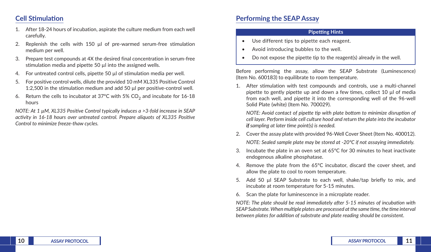### **Cell Stimulation**

- 1. After 18-24 hours of incubation, aspirate the culture medium from each well carefully.
- 2. Replenish the cells with 150 µl of pre-warmed serum-free stimulation medium per well.
- 3. Prepare test compounds at 4X the desired final concentration in serum-free stimulation media and pipette 50 ul into the assigned wells.
- 4. For untreated control cells, pipette 50 µl of stimulation media per well.
- 5. For positive control wells, dilute the provided 10 mM XL335 Positive Control 1:2,500 in the stimulation medium and add 50 µl per positive-control well.
- 6. Return the cells to incubator at 37°C with 5%  $CO<sub>2</sub>$  and incubate for 16-18 hours

*NOTE: At 1 µM, XL335 Positive Control typically induces a >3-fold increase in SEAP activity in 16-18 hours over untreated control. Prepare aliquots of XL335 Positive Control to minimize freeze-thaw cycles.* 

### **Performing the SEAP Assay**

#### **Pipetting Hints**

- Use different tips to pipette each reagent.
- Avoid introducing bubbles to the well.
- Do not expose the pipette tip to the reagent(s) already in the well.

Before performing the assay, allow the SEAP Substrate (Luminescence) (Item No. 600183) to equilibrate to room temperature.

1. After stimulation with test compounds and controls, use a multi-channel pipette to gently pipette up and down a few times, collect 10 µl of media from each well, and pipette it into the corresponding well of the 96-well Solid Plate (white) (Item No. 700029).

*NOTE: Avoid contact of pipette tip with plate bottom to minimize disruption of cell layer. Perform inside cell culture hood and return the plate into the incubator if sampling at later time point(s) is needed.*

- 2. Cover the assay plate with provided 96-Well Cover Sheet (Item No. 400012). *NOTE: Sealed sample plate may be stored at -20ºC if not assaying immediately.*
- Incubate the plate in an oven set at  $65^{\circ}$ C for 30 minutes to heat inactivate endogenous alkaline phosphatase.
- 4. Remove the plate from the 65°C incubator, discard the cover sheet, and allow the plate to cool to room temperature.
- 5. Add 50 µl SEAP Substrate to each well, shake/tap briefly to mix, and incubate at room temperature for 5-15 minutes.
- 6. Scan the plate for luminescence in a microplate reader.

*NOTE: The plate should be read immediately after 5-15 minutes of incubation with SEAP Substrate. When multiple plates are processed at the same time, the time interval between plates for addition of substrate and plate reading should be consistent.*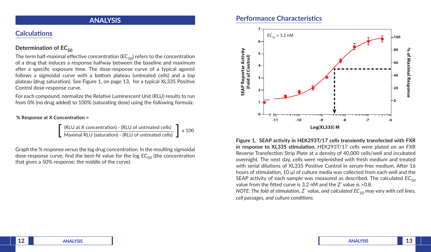#### **ANALYSIS**

### **Calculations**

#### **Determination of EC<sub>50</sub>**

The term half-maximal effective concentration ( $EC_{50}$ ) refers to the concentration of a drug that induces a response halfway between the baseline and maximum after a specific exposure time. The dose-response curve of a typical agonist follows a sigmoidal curve with a bottom plateau (untreated cells) and a top plateau (drug saturation). See Figure 1, on page 13, for a typical XL335 Positive Control dose-response curve.

For each compound, normalize the Relative Luminescent Unit (RLU) results to run from 0% (no drug added) to 100% (saturating dose) using the following formula:

#### % Response at X Concentration =

(RLU at X concentration) - (RLU of untreated cells)  $\left[\right]$  x 100<br>Maximal RLU (saturation) - (RLU of untreated cells)  $\left]$  x 100

Graph the % response *versus* the log drug concentration. In the resulting sigmoidal dose-response curve, find the best-fit value for the log  $EC_{50}$  (the concentration that gives a 50% response; the middle of the curve).

### **Performance Characteristics**



**Figure 1. SEAP activity in HEK293T/17 cells transiently transfected with FXR in response to XL335 stimulation.** HEK293T/17 cells were plated on an FXR Reverse Transfection Strip Plate at a density of 40,000 cells/well and incubated overnight. The next day, cells were replenished with fresh medium and treated with serial dilutions of XL335 Positive Control in serum-free medium. After 16 hours of stimulation, 10 µl of culture media was collected from each well and the SEAP activity of each sample was measured as described. The calculated  $EC_{50}$ value from the fitted curve is 3.2 nM and the Z' value is >0.8.

*NOTE: The fold of stimulation, Z' value, and calculated EC<sub>50</sub> may vary with cell lines, cell passages, and culture conditions.*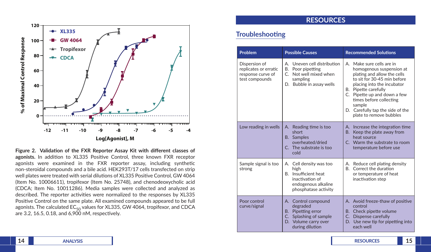

**Figure 2. Validation of the FXR Reporter Assay Kit with different classes of agonists.** In addition to XL335 Positive Control, three known FXR receptor agonists were examined in the FXR reporter assay, including synthetic non-steroidal compounds and a bile acid. HEK293T/17 cells transfected on strip well plates were treated with serial dilutions of XL335 Positive Control, GW 4064 (Item No. 10006611), tropifexor (Item No. 25748), and chenodeoxycholic acid (CDCA; Item No. 10011286). Media samples were collected and analyzed as described. The reporter activities were normalized to the responses by XL335 Positive Control on the same plate. All examined compounds appeared to be full agonists. The calculated  $EC_{50}$  values for XL335, GW 4064, tropifexor, and CDCA are 3.2, 16.5, 0.18, and 6,900 nM, respectively.

### **RESOURCES**

### **Troubleshooting**

| <b>Problem</b>                                                                | <b>Possible Causes</b>                                                                                                                   | <b>Recommended Solutions</b>                                                                                                                                                                                                                                                                                  |  |
|-------------------------------------------------------------------------------|------------------------------------------------------------------------------------------------------------------------------------------|---------------------------------------------------------------------------------------------------------------------------------------------------------------------------------------------------------------------------------------------------------------------------------------------------------------|--|
| Dispersion of<br>replicates or erratic<br>response curve of<br>test compounds | Uneven cell distribution<br>А.<br>Poor pipetting<br>В.<br>Not well mixed when<br>$\mathsf{C}$<br>sampling<br>Bubble in assay wells<br>D. | A. Make sure cells are in<br>homogenous suspension at<br>plating and allow the cells<br>to sit for 30-45 min before<br>placing into the incubator<br>B. Pipette carefully<br>C. Pipette up and down a few<br>times before collecting<br>sample<br>D. Carefully tap the side of the<br>plate to remove bubbles |  |
| Low reading in wells                                                          | A. Reading time is too<br>short<br><b>B.</b> Samples<br>overheated/dried<br>C. The substrate is too<br>cold                              | A. Increase the integration time<br><b>B.</b><br>Keep the plate away from<br>heat source<br>C. Warm the substrate to room<br>temperature before use                                                                                                                                                           |  |
| Sample signal is too<br>strong                                                | A. Cell density was too<br>high<br>Insufficient heat<br>B.<br>inactivation of<br>endogenous alkaline<br>phosphatase activity             | Reduce cell plating density<br>А.<br>Correct the duration<br>B.<br>or temperature of heat<br>inactivation step                                                                                                                                                                                                |  |
| Poor control<br>curve/signal                                                  | A. Control compound<br>degraded<br>Pipetting error<br>В.<br>Splashing of sample<br>C.<br>Volume carry over<br>D.<br>during dilution      | A. Avoid freeze-thaw of positive<br>control<br>B. Check pipette volume<br>C. Dispense carefully<br>Use new tip for pipetting into<br>D.<br>each well                                                                                                                                                          |  |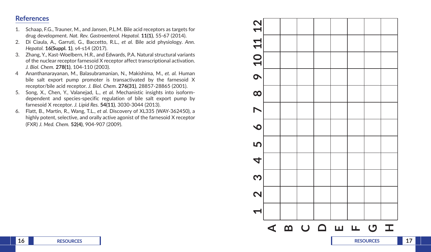#### **References**

- 1. Schaap, F.G., Trauner, M., and Jansen, P.L.M. Bile acid receptors as targets for drug development. *Nat. Rev. Gastroenterol. Hepatol.* **11(1)**, 55-67 (2014).
- 2. Di Ciaula, A., Garruti, G., Baccetto, R.L., *et al.* Bile acid physiology. *Ann. Hepatol.* **16(Suppl. 1)**, s4-s14 (2017).
- 3. Zhang, Y., Kast-Woelbern, H.R., and Edwards, P.A. Natural structural variants of the nuclear receptor farnesoid X receptor affect transcriptional activation. *J. Biol. Chem.* **278(1)**, 104-110 (2003).
- 4 Ananthanarayanan, M., Balasubramanian, N., Makishima, M., *et. al.* Human bile salt export pump promoter is transactivated by the farnesoid X receptor/bile acid receptor. *J. Biol. Chem.* **276(31)**, 28857-28865 (2001).
- 5. Song, X., Chen, Y., Valanejad, L., *et al.* Mechanistic insights into isoformdependent and species-specific regulation of bile salt export pump by farnesoid X receptor. *J. Lipid Res.* **54(11)**, 3030-3044 (2013).
- 6. Flatt, B., Martin, R., Wang, T.L., *et al.* Discovery of XL335 (WAY-362450), a highly potent, selective, and orally active agonist of the farnesoid X receptor (FXR) *J. Med. Chem.* **52(4)**, 904-907 (2009).